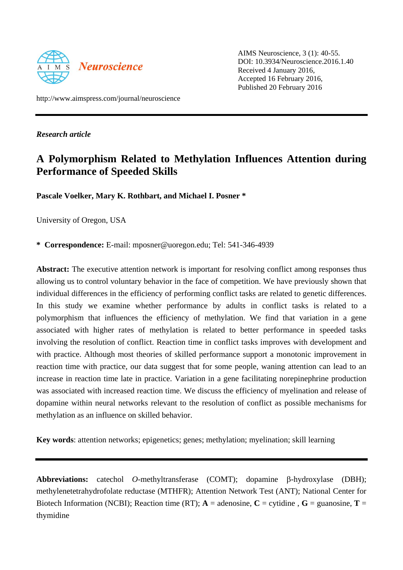

AIMS Neuroscience, 3 (1): 40-55. DOI: 10.3934/Neuroscience.2016.1.40 Received 4 January 2016, Accepted 16 February 2016, Published 20 February 2016

http://www.aimspress.com/journal/neuroscience

*Research article*

# **A Polymorphism Related to Methylation Influences Attention during Performance of Speeded Skills**

**Pascale Voelker, Mary K. Rothbart, and Michael I. Posner \***

University of Oregon, USA

**\* Correspondence:** E-mail: [mposner@uoregon.edu;](mailto:mposner@uoregon.edu) Tel: 541-346-4939

Abstract: The executive attention network is important for resolving conflict among responses thus allowing us to control voluntary behavior in the face of competition. We have previously shown that individual differences in the efficiency of performing conflict tasks are related to genetic differences. In this study we examine whether performance by adults in conflict tasks is related to a polymorphism that influences the efficiency of methylation. We find that variation in a gene associated with higher rates of methylation is related to better performance in speeded tasks involving the resolution of conflict. Reaction time in conflict tasks improves with development and with practice. Although most theories of skilled performance support a monotonic improvement in reaction time with practice, our data suggest that for some people, waning attention can lead to an increase in reaction time late in practice. Variation in a gene facilitating norepinephrine production was associated with increased reaction time. We discuss the efficiency of myelination and release of dopamine within neural networks relevant to the resolution of conflict as possible mechanisms for methylation as an influence on skilled behavior.

**Key words**: attention networks; epigenetics; genes; methylation; myelination; skill learning

**Abbreviations:** catechol *O*-methyltransferase (COMT); dopamine β-hydroxylase (DBH); methylenetetrahydrofolate reductase (MTHFR); Attention Network Test (ANT); National Center for Biotech Information (NCBI); Reaction time (RT);  $A =$  adenosine,  $C =$  cytidine,  $G =$  guanosine,  $T =$ thymidine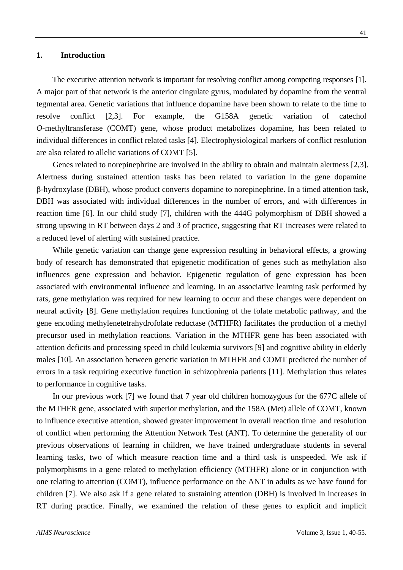#### **1. Introduction**

The executive attention network is important for resolving conflict among competing responses [1]. A major part of that network is the anterior cingulate gyrus, modulated by dopamine from the ventral tegmental area. Genetic variations that influence dopamine have been shown to relate to the time to resolve conflict [2,3]. For example, the G158A genetic variation of catechol *O*-methyltransferase (COMT) gene, whose product metabolizes dopamine, has been related to individual differences in conflict related tasks [4]. Electrophysiological markers of conflict resolution are also related to allelic variations of COMT [5].

Genes related to norepinephrine are involved in the ability to obtain and maintain alertness [2,3]. Alertness during sustained attention tasks has been related to variation in the gene dopamine β-hydroxylase (DBH), whose product converts dopamine to norepinephrine. In a timed attention task, DBH was associated with individual differences in the number of errors, and with differences in reaction time [6]. In our child study [7], children with the 444G polymorphism of DBH showed a strong upswing in RT between days 2 and 3 of practice, suggesting that RT increases were related to a reduced level of alerting with sustained practice.

While genetic variation can change gene expression resulting in behavioral effects, a growing body of research has demonstrated that epigenetic modification of genes such as methylation also influences gene expression and behavior. Epigenetic regulation of gene expression has been associated with environmental influence and learning. In an associative learning task performed by rats, gene methylation was required for new learning to occur and these changes were dependent on neural activity [8]. Gene methylation requires functioning of the folate metabolic pathway, and the gene encoding methylenetetrahydrofolate reductase (MTHFR) facilitates the production of a methyl precursor used in methylation reactions. Variation in the MTHFR gene has been associated with attention deficits and processing speed in child leukemia survivors [9] and cognitive ability in elderly males [10]. An association between genetic variation in MTHFR and COMT predicted the number of errors in a task requiring executive function in schizophrenia patients [11]. Methylation thus relates to performance in cognitive tasks.

In our previous work [7] we found that 7 year old children homozygous for the 677C allele of the MTHFR gene, associated with superior methylation, and the 158A (Met) allele of COMT, known to influence executive attention, showed greater improvement in overall reaction time and resolution of conflict when performing the Attention Network Test (ANT). To determine the generality of our previous observations of learning in children, we have trained undergraduate students in several learning tasks, two of which measure reaction time and a third task is unspeeded. We ask if polymorphisms in a gene related to methylation efficiency (MTHFR) alone or in conjunction with one relating to attention (COMT), influence performance on the ANT in adults as we have found for children [\[7\]](#page-14-0). We also ask if a gene related to sustaining attention (DBH) is involved in increases in RT during practice. Finally, we examined the relation of these genes to explicit and implicit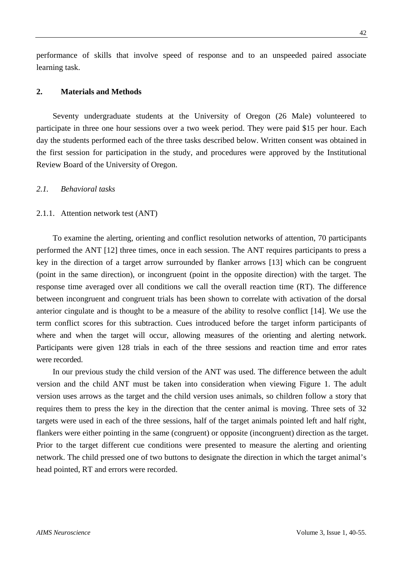performance of skills that involve speed of response and to an unspeeded paired associate learning task.

## **2. Materials and Methods**

Seventy undergraduate students at the University of Oregon (26 Male) volunteered to participate in three one hour sessions over a two week period. They were paid \$15 per hour. Each day the students performed each of the three tasks described below. Written consent was obtained in the first session for participation in the study, and procedures were approved by the Institutional Review Board of the University of Oregon.

# *2.1. Behavioral tasks*

# 2.1.1. Attention network test (ANT)

To examine the alerting, orienting and conflict resolution networks of attention, 70 participants performed the ANT [12] three times, once in each session. The ANT requires participants to press a key in the direction of a target arrow surrounded by flanker arrows [13] which can be congruent (point in the same direction), or incongruent (point in the opposite direction) with the target. The response time averaged over all conditions we call the overall reaction time (RT). The difference between incongruent and congruent trials has been shown to correlate with activation of the dorsal anterior cingulate and is thought to be a measure of the ability to resolve conflict [14]. We use the term conflict scores for this subtraction. Cues introduced before the target inform participants of where and when the target will occur, allowing measures of the orienting and alerting network. Participants were given 128 trials in each of the three sessions and reaction time and error rates were recorded.

In our previous study the child version of the ANT was used. The difference between the adult version and the child ANT must be taken into consideration when viewing Figure 1. The adult version uses arrows as the target and the child version uses animals, so children follow a story that requires them to press the key in the direction that the center animal is moving. Three sets of 32 targets were used in each of the three sessions, half of the target animals pointed left and half right, flankers were either pointing in the same (congruent) or opposite (incongruent) direction as the target. Prior to the target different cue conditions were presented to measure the alerting and orienting network. The child pressed one of two buttons to designate the direction in which the target animal's head pointed, RT and errors were recorded.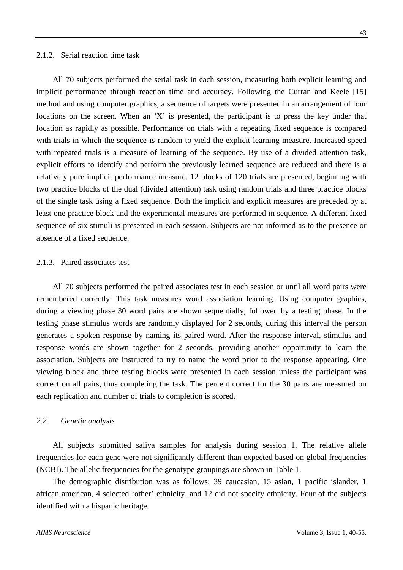#### 2.1.2. Serial reaction time task

All 70 subjects performed the serial task in each session, measuring both explicit learning and implicit performance through reaction time and accuracy. Following the Curran and Keele [15] method and using computer graphics, a sequence of targets were presented in an arrangement of four locations on the screen. When an 'X' is presented, the participant is to press the key under that location as rapidly as possible. Performance on trials with a repeating fixed sequence is compared with trials in which the sequence is random to yield the explicit learning measure. Increased speed with repeated trials is a measure of learning of the sequence. By use of a divided attention task, explicit efforts to identify and perform the previously learned sequence are reduced and there is a

relatively pure implicit performance measure. 12 blocks of 120 trials are presented, beginning with two practice blocks of the dual (divided attention) task using random trials and three practice blocks of the single task using a fixed sequence. Both the implicit and explicit measures are preceded by at least one practice block and the experimental measures are performed in sequence. A different fixed sequence of six stimuli is presented in each session. Subjects are not informed as to the presence or absence of a fixed sequence.

# 2.1.3. Paired associates test

All 70 subjects performed the paired associates test in each session or until all word pairs were remembered correctly. This task measures word association learning. Using computer graphics, during a viewing phase 30 word pairs are shown sequentially, followed by a testing phase. In the testing phase stimulus words are randomly displayed for 2 seconds, during this interval the person generates a spoken response by naming its paired word. After the response interval, stimulus and response words are shown together for 2 seconds, providing another opportunity to learn the association. Subjects are instructed to try to name the word prior to the response appearing. One viewing block and three testing blocks were presented in each session unless the participant was correct on all pairs, thus completing the task. The percent correct for the 30 pairs are measured on each replication and number of trials to completion is scored.

## *2.2. Genetic analysis*

All subjects submitted saliva samples for analysis during session 1. The relative allele frequencies for each gene were not significantly different than expected based on global frequencies (NCBI). The allelic frequencies for the genotype groupings are shown in Table 1.

The demographic distribution was as follows: 39 caucasian, 15 asian, 1 pacific islander, 1 african american, 4 selected 'other' ethnicity, and 12 did not specify ethnicity. Four of the subjects identified with a hispanic heritage.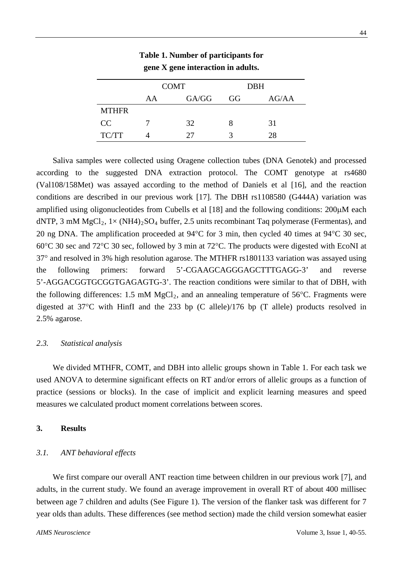|              | <b>COMT</b> |       | <b>DBH</b> |       |
|--------------|-------------|-------|------------|-------|
|              | AA          | GA/GG | GG         | AG/AA |
| <b>MTHFR</b> |             |       |            |       |
| CC           |             | 32    |            | 31    |
| TC/TT        |             | 27    |            | 28    |

**Table 1. Number of participants for gene X gene interaction in adults.**

Saliva samples were collected using Oragene collection tubes (DNA Genotek) and processed according to the suggested DNA extraction protocol. The COMT genotype at rs4680 (Val108/158Met) was assayed according to the method of Daniels et al [16], and the reaction conditions are described in our previous work [17]. The DBH rs1108580 (G444A) variation was amplified using oligonucleotides from Cubells et al [18] and the following conditions:  $200 \mu M$  each dNTP, 3 mM  $MgCl_2$ ,  $1\times$  (NH4)<sub>2</sub>SO<sub>4</sub> buffer, 2.5 units recombinant Taq polymerase (Fermentas), and 20 ng DNA. The amplification proceeded at 94°C for 3 min, then cycled 40 times at 94°C 30 sec, 60°C 30 sec and 72°C 30 sec, followed by 3 min at 72°C. The products were digested with EcoNI at 37° and resolved in 3% high resolution agarose. The MTHFR rs1801133 variation was assayed using the following primers: forward 5'-CGAAGCAGGGAGCTTTGAGG-3' and reverse 5'-AGGACGGTGCGGTGAGAGTG-3'. The reaction conditions were similar to that of DBH, with the following differences: 1.5 mM  $MgCl<sub>2</sub>$ , and an annealing temperature of 56°C. Fragments were digested at 37°C with HinfI and the 233 bp (C allele)/176 bp (T allele) products resolved in 2.5% agarose.

# *2.3. Statistical analysis*

We divided MTHFR, COMT, and DBH into allelic groups shown in Table 1. For each task we used ANOVA to determine significant effects on RT and/or errors of allelic groups as a function of practice (sessions or blocks). In the case of implicit and explicit learning measures and speed measures we calculated product moment correlations between scores.

# **3. Results**

# *3.1. ANT behavioral effects*

We first compare our overall ANT reaction time between children in our previous work [7], and adults, in the current study. We found an average improvement in overall RT of about 400 millisec between age 7 children and adults (See Figure 1). The version of the flanker task was different for 7 year olds than adults. These differences (see method section) made the child version somewhat easier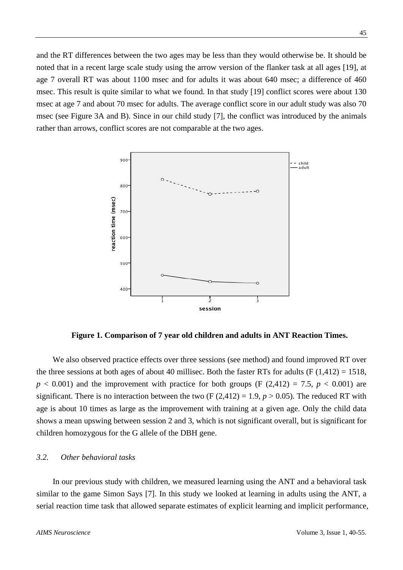and the RT differences between the two ages may be less than they would otherwise be. It should be noted that in a recent large scale study using the arrow version of the flanker task at all ages [19], at age 7 overall RT was about 1100 msec and for adults it was about 640 msec; a difference of 460 msec. This result is quite similar to what we found. In that study [19] conflict scores were about 130 msec at age 7 and about 70 msec for adults. The average conflict score in our adult study was also 70 msec (see Figure 3A and B). Since in our child study [7], the conflict was introduced by the animals rather than arrows, conflict scores are not comparable at the two ages.



**Figure 1. Comparison of 7 year old children and adults in ANT Reaction Times.**

We also observed practice effects over three sessions (see method) and found improved RT over the three sessions at both ages of about 40 millisec. Both the faster RTs for adults (F  $(1,412) = 1518$ ,  $p < 0.001$ ) and the improvement with practice for both groups (F (2,412) = 7.5,  $p < 0.001$ ) are significant. There is no interaction between the two  $(F (2.412) = 1.9, p > 0.05)$ . The reduced RT with age is about 10 times as large as the improvement with training at a given age. Only the child data shows a mean upswing between session 2 and 3, which is not significant overall, but is significant for children homozygous for the G allele of the DBH gene.

# *3.2. Other behavioral tasks*

In our previous study with children, we measured learning using the ANT and a behavioral task similar to the game Simon Says [7]. In this study we looked at learning in adults using the ANT, a serial reaction time task that allowed separate estimates of explicit learning and implicit performance,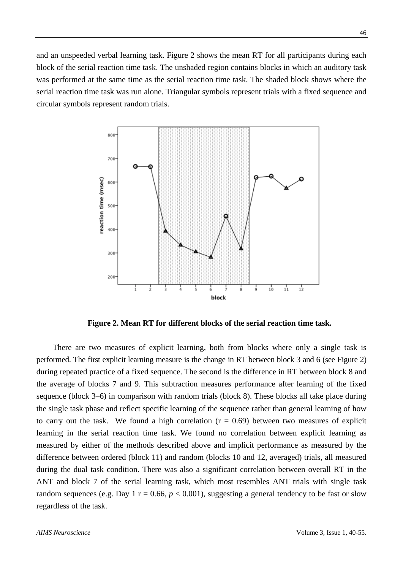and an unspeeded verbal learning task. Figure 2 shows the mean RT for all participants during each block of the serial reaction time task. The unshaded region contains blocks in which an auditory task was performed at the same time as the serial reaction time task. The shaded block shows where the serial reaction time task was run alone. Triangular symbols represent trials with a fixed sequence and circular symbols represent random trials.



**Figure 2. Mean RT for different blocks of the serial reaction time task.**

There are two measures of explicit learning, both from blocks where only a single task is performed. The first explicit learning measure is the change in RT between block 3 and 6 (see Figure 2) during repeated practice of a fixed sequence. The second is the difference in RT between block 8 and the average of blocks 7 and 9. This subtraction measures performance after learning of the fixed sequence (block 3–6) in comparison with random trials (block 8). These blocks all take place during the single task phase and reflect specific learning of the sequence rather than general learning of how to carry out the task. We found a high correlation  $(r = 0.69)$  between two measures of explicit learning in the serial reaction time task. We found no correlation between explicit learning as measured by either of the methods described above and implicit performance as measured by the difference between ordered (block 11) and random (blocks 10 and 12, averaged) trials, all measured during the dual task condition. There was also a significant correlation between overall RT in the ANT and block 7 of the serial learning task, which most resembles ANT trials with single task random sequences (e.g. Day 1  $r = 0.66$ ,  $p < 0.001$ ), suggesting a general tendency to be fast or slow regardless of the task.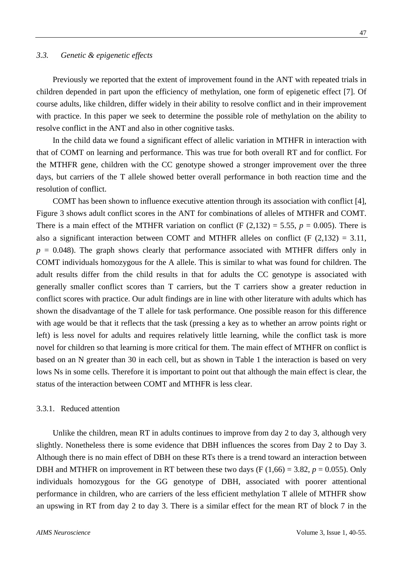Previously we reported that the extent of improvement found in the ANT with repeated trials in children depended in part upon the efficiency of methylation, one form of epigenetic effect [7]. Of course adults, like children, differ widely in their ability to resolve conflict and in their improvement with practice. In this paper we seek to determine the possible role of methylation on the ability to resolve conflict in the ANT and also in other cognitive tasks.

In the child data we found a significant effect of allelic variation in MTHFR in interaction with that of COMT on learning and performance. This was true for both overall RT and for conflict. For the MTHFR gene, children with the CC genotype showed a stronger improvement over the three days, but carriers of the T allele showed better overall performance in both reaction time and the resolution of conflict.

COMT has been shown to influence executive attention through its association with conflict [4], Figure 3 shows adult conflict scores in the ANT for combinations of alleles of MTHFR and COMT. There is a main effect of the MTHFR variation on conflict (F  $(2,132) = 5.55$ ,  $p = 0.005$ ). There is also a significant interaction between COMT and MTHFR alleles on conflict (F  $(2,132) = 3.11$ ,  $p = 0.048$ ). The graph shows clearly that performance associated with MTHFR differs only in COMT individuals homozygous for the A allele. This is similar to what was found for children. The adult results differ from the child results in that for adults the CC genotype is associated with generally smaller conflict scores than T carriers, but the T carriers show a greater reduction in conflict scores with practice. Our adult findings are in line with other literature with adults which has shown the disadvantage of the T allele for task performance. One possible reason for this difference with age would be that it reflects that the task (pressing a key as to whether an arrow points right or left) is less novel for adults and requires relatively little learning, while the conflict task is more novel for children so that learning is more critical for them. The main effect of MTHFR on conflict is based on an N greater than 30 in each cell, but as shown in Table 1 the interaction is based on very lows Ns in some cells. Therefore it is important to point out that although the main effect is clear, the status of the interaction between COMT and MTHFR is less clear.

#### 3.3.1. Reduced attention

Unlike the children, mean RT in adults continues to improve from day 2 to day 3, although very slightly. Nonetheless there is some evidence that DBH influences the scores from Day 2 to Day 3. Although there is no main effect of DBH on these RTs there is a trend toward an interaction between DBH and MTHFR on improvement in RT between these two days  $(F (1,66) = 3.82, p = 0.055)$ . Only individuals homozygous for the GG genotype of DBH, associated with poorer attentional performance in children, who are carriers of the less efficient methylation T allele of MTHFR show an upswing in RT from day 2 to day 3. There is a similar effect for the mean RT of block 7 in the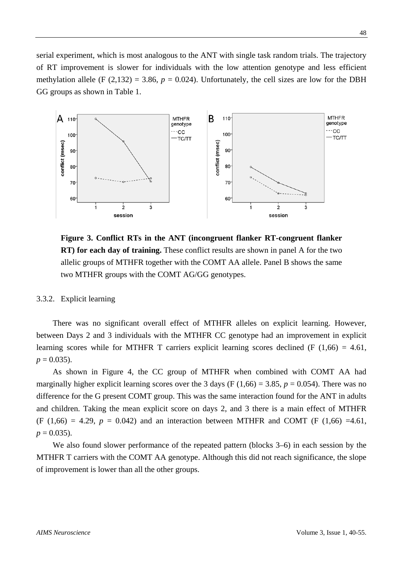serial experiment, which is most analogous to the ANT with single task random trials. The trajectory of RT improvement is slower for individuals with the low attention genotype and less efficient methylation allele (F  $(2,132) = 3.86$ ,  $p = 0.024$ ). Unfortunately, the cell sizes are low for the DBH GG groups as shown in Table 1.



**Figure 3. Conflict RTs in the ANT (incongruent flanker RT-congruent flanker RT) for each day of training.** These conflict results are shown in panel A for the two allelic groups of MTHFR together with the COMT AA allele. Panel B shows the same two MTHFR groups with the COMT AG/GG genotypes.

3.3.2. Explicit learning

There was no significant overall effect of MTHFR alleles on explicit learning. However, between Days 2 and 3 individuals with the MTHFR CC genotype had an improvement in explicit learning scores while for MTHFR T carriers explicit learning scores declined (F  $(1,66) = 4.61$ ,  $p = 0.035$ .

As shown in Figure 4, the CC group of MTHFR when combined with COMT AA had marginally higher explicit learning scores over the 3 days (F  $(1,66) = 3.85$ ,  $p = 0.054$ ). There was no difference for the G present COMT group. This was the same interaction found for the ANT in adults and children. Taking the mean explicit score on days 2, and 3 there is a main effect of MTHFR  $(F (1,66) = 4.29, p = 0.042)$  and an interaction between MTHFR and COMT (F (1,66) =4.61,  $p = 0.035$ .

We also found slower performance of the repeated pattern (blocks 3–6) in each session by the MTHFR T carriers with the COMT AA genotype. Although this did not reach significance, the slope of improvement is lower than all the other groups.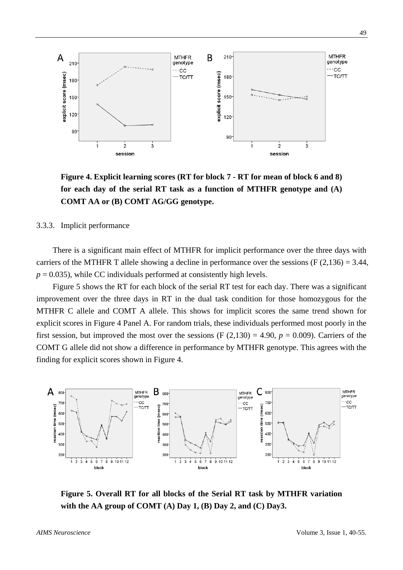

**Figure 4. Explicit learning scores (RT for block 7 - RT for mean of block 6 and 8) for each day of the serial RT task as a function of MTHFR genotype and (A) COMT AA or (B) COMT AG/GG genotype.**

3.3.3. Implicit performance

There is a significant main effect of MTHFR for implicit performance over the three days with carriers of the MTHFR T allele showing a decline in performance over the sessions (F  $(2,136) = 3.44$ ,  $p = 0.035$ ), while CC individuals performed at consistently high levels.

Figure 5 shows the RT for each block of the serial RT test for each day. There was a significant improvement over the three days in RT in the dual task condition for those homozygous for the MTHFR C allele and COMT A allele. This shows for implicit scores the same trend shown for explicit scores in Figure 4 Panel A. For random trials, these individuals performed most poorly in the first session, but improved the most over the sessions  $(F (2,130) = 4.90, p = 0.009)$ . Carriers of the COMT G allele did not show a difference in performance by MTHFR genotype. This agrees with the finding for explicit scores shown in Figure 4.



**Figure 5. Overall RT for all blocks of the Serial RT task by MTHFR variation with the AA group of COMT (A) Day 1, (B) Day 2, and (C) Day3.**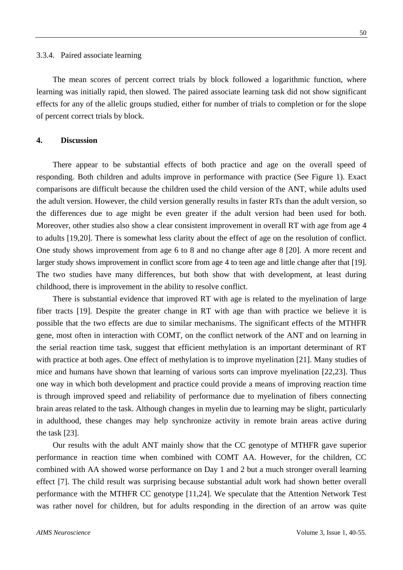The mean scores of percent correct trials by block followed a logarithmic function, where learning was initially rapid, then slowed. The paired associate learning task did not show significant effects for any of the allelic groups studied, either for number of trials to completion or for the slope of percent correct trials by block.

# **4. Discussion**

There appear to be substantial effects of both practice and age on the overall speed of responding. Both children and adults improve in performance with practice (See Figure 1). Exact comparisons are difficult because the children used the child version of the ANT, while adults used the adult version. However, the child version generally results in faster RTs than the adult version, so the differences due to age might be even greater if the adult version had been used for both. Moreover, other studies also show a clear consistent improvement in overall RT with age from age 4 to adults [19,20]. There is somewhat less clarity about the effect of age on the resolution of conflict. One study shows improvement from age 6 to 8 and no change after age 8 [20]. A more recent and larger study shows improvement in conflict score from age 4 to teen age and little change after that [19]. The two studies have many differences, but both show that with development, at least during childhood, there is improvement in the ability to resolve conflict.

There is substantial evidence that improved RT with age is related to the myelination of large fiber tracts [19]. Despite the greater change in RT with age than with practice we believe it is possible that the two effects are due to similar mechanisms. The significant effects of the MTHFR gene, most often in interaction with COMT, on the conflict network of the ANT and on learning in the serial reaction time task, suggest that efficient methylation is an important determinant of RT with practice at both ages. One effect of methylation is to improve myelination [21]. Many studies of mice and humans have shown that learning of various sorts can improve myelination [22,23]. Thus one way in which both development and practice could provide a means of improving reaction time is through improved speed and reliability of performance due to myelination of fibers connecting brain areas related to the task. Although changes in myelin due to learning may be slight, particularly in adulthood, these changes may help synchronize activity in remote brain areas active during the task [23].

Our results with the adult ANT mainly show that the CC genotype of MTHFR gave superior performance in reaction time when combined with COMT AA. However, for the children, CC combined with AA showed worse performance on Day 1 and 2 but a much stronger overall learning effect [\[7\]](#page-14-0). The child result was surprising because substantial adult work had shown better overall performance with the MTHFR CC genotype [11,24]. We speculate that the Attention Network Test was rather novel for children, but for adults responding in the direction of an arrow was quite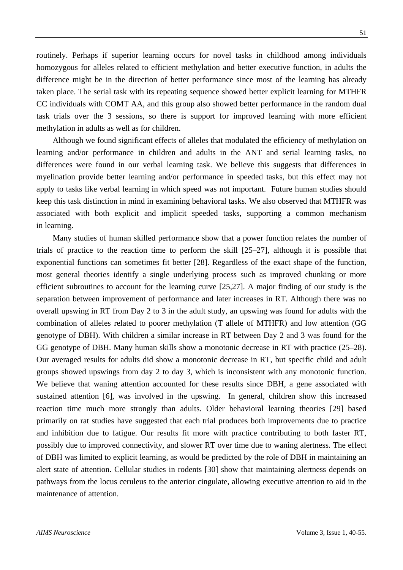routinely. Perhaps if superior learning occurs for novel tasks in childhood among individuals homozygous for alleles related to efficient methylation and better executive function, in adults the difference might be in the direction of better performance since most of the learning has already taken place. The serial task with its repeating sequence showed better explicit learning for MTHFR CC individuals with COMT AA, and this group also showed better performance in the random dual task trials over the 3 sessions, so there is support for improved learning with more efficient methylation in adults as well as for children.

Although we found significant effects of alleles that modulated the efficiency of methylation on learning and/or performance in children and adults in the ANT and serial learning tasks, no differences were found in our verbal learning task. We believe this suggests that differences in myelination provide better learning and/or performance in speeded tasks, but this effect may not apply to tasks like verbal learning in which speed was not important. Future human studies should keep this task distinction in mind in examining behavioral tasks. We also observed that MTHFR was associated with both explicit and implicit speeded tasks, supporting a common mechanism in learning.

Many studies of human skilled performance show that a power function relates the number of trials of practice to the reaction time to perform the skill [25–27], although it is possible that exponential functions can sometimes fit better [28]. Regardless of the exact shape of the function, most general theories identify a single underlying process such as improved chunking or more efficient subroutines to account for the learning curve [25,27]. A major finding of our study is the separation between improvement of performance and later increases in RT. Although there was no overall upswing in RT from Day 2 to 3 in the adult study, an upswing was found for adults with the combination of alleles related to poorer methylation (T allele of MTHFR) and low attention (GG genotype of DBH). With children a similar increase in RT between Day 2 and 3 was found for the GG genotype of DBH. Many human skills show a monotonic decrease in RT with practice (25–28). Our averaged results for adults did show a monotonic decrease in RT, but specific child and adult groups showed upswings from day 2 to day 3, which is inconsistent with any monotonic function. We believe that waning attention accounted for these results since DBH, a gene associated with sustained attention [6], was involved in the upswing. In general, children show this increased reaction time much more strongly than adults. Older behavioral learning theories [29] based primarily on rat studies have suggested that each trial produces both improvements due to practice and inhibition due to fatigue. Our results fit more with practice contributing to both faster RT, possibly due to improved connectivity, and slower RT over time due to waning alertness. The effect of DBH was limited to explicit learning, as would be predicted by the role of DBH in maintaining an alert state of attention. Cellular studies in rodents [30] show that maintaining alertness depends on pathways from the locus ceruleus to the anterior cingulate, allowing executive attention to aid in the maintenance of attention.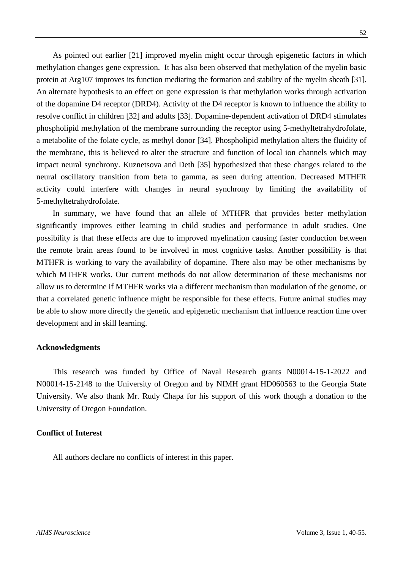As pointed out earlier [21] improved myelin might occur through epigenetic factors in which methylation changes gene expression. It has also been observed that methylation of the myelin basic protein at Arg107 improves its function mediating the formation and stability of the myelin sheath [31]. An alternate hypothesis to an effect on gene expression is that methylation works through activation of the dopamine D4 receptor (DRD4). Activity of the D4 receptor is known to influence the ability to resolve conflict in children [32] and adults [33]. Dopamine-dependent activation of DRD4 stimulates phospholipid methylation of the membrane surrounding the receptor using 5-methyltetrahydrofolate, a metabolite of the folate cycle, as methyl donor [34]. Phospholipid methylation alters the fluidity of the membrane, this is believed to alter the structure and function of local ion channels which may impact neural synchrony. Kuznetsova and Deth [35] hypothesized that these changes related to the neural oscillatory transition from beta to gamma, as seen during attention. Decreased MTHFR activity could interfere with changes in neural synchrony by limiting the availability of 5-methyltetrahydrofolate.

In summary, we have found that an allele of MTHFR that provides better methylation significantly improves either learning in child studies and performance in adult studies. One possibility is that these effects are due to improved myelination causing faster conduction between the remote brain areas found to be involved in most cognitive tasks. Another possibility is that MTHFR is working to vary the availability of dopamine. There also may be other mechanisms by which MTHFR works. Our current methods do not allow determination of these mechanisms nor allow us to determine if MTHFR works via a different mechanism than modulation of the genome, or that a correlated genetic influence might be responsible for these effects. Future animal studies may be able to show more directly the genetic and epigenetic mechanism that influence reaction time over development and in skill learning.

## **Acknowledgments**

This research was funded by Office of Naval Research grants N00014-15-1-2022 and N00014-15-2148 to the University of Oregon and by NIMH grant HD060563 to the Georgia State University. We also thank Mr. Rudy Chapa for his support of this work though a donation to the University of Oregon Foundation.

# **Conflict of Interest**

All authors declare no conflicts of interest in this paper.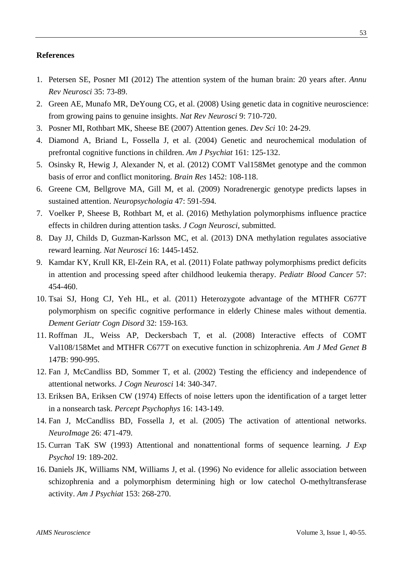## **References**

- 1. Petersen SE, Posner MI (2012) The attention system of the human brain: 20 years after. *Annu Rev Neurosci* 35: 73-89.
- 2. Green AE, Munafo MR, DeYoung CG, et al. (2008) Using genetic data in cognitive neuroscience: from growing pains to genuine insights. *Nat Rev Neurosci* 9: 710-720.
- 3. Posner MI, Rothbart MK, Sheese BE (2007) Attention genes. *Dev Sci* 10: 24-29.
- 4. Diamond A, Briand L, Fossella J, et al. (2004) Genetic and neurochemical modulation of prefrontal cognitive functions in children. *Am J Psychiat* 161: 125-132.
- 5. Osinsky R, Hewig J, Alexander N, et al. (2012) COMT Val158Met genotype and the common basis of error and conflict monitoring. *Brain Res* 1452: 108-118.
- 6. Greene CM, Bellgrove MA, Gill M, et al. (2009) Noradrenergic genotype predicts lapses in sustained attention. *Neuropsychologia* 47: 591-594.
- 7. Voelker P, Sheese B, Rothbart M, et al. (2016) Methylation polymorphisms influence practice effects in children during attention tasks. *J Cogn Neurosci*, submitted.
- 8. Day JJ, Childs D, Guzman-Karlsson MC, et al. (2013) DNA methylation regulates associative reward learning. *Nat Neurosci* 16: 1445-1452.
- 9. Kamdar KY, Krull KR, El-Zein RA, et al. (2011) Folate pathway polymorphisms predict deficits in attention and processing speed after childhood leukemia therapy. *Pediatr Blood Cancer* 57: 454-460.
- 10. Tsai SJ, Hong CJ, Yeh HL, et al. (2011) Heterozygote advantage of the MTHFR C677T polymorphism on specific cognitive performance in elderly Chinese males without dementia. *Dement Geriatr Cogn Disord* 32: 159-163.
- 11. Roffman JL, Weiss AP, Deckersbach T, et al. (2008) Interactive effects of COMT Val108/158Met and MTHFR C677T on executive function in schizophrenia. *Am J Med Genet B* 147B: 990-995.
- 12. Fan J, McCandliss BD, Sommer T, et al. (2002) Testing the efficiency and independence of attentional networks. *J Cogn Neurosci* 14: 340-347.
- 13. Eriksen BA, Eriksen CW (1974) Effects of noise letters upon the identification of a target letter in a nonsearch task. *Percept Psychophys* 16: 143-149.
- 14. Fan J, McCandliss BD, Fossella J, et al. (2005) The activation of attentional networks. *NeuroImage* 26: 471-479.
- 15. Curran TaK SW (1993) Attentional and nonattentional forms of sequence learning. *J Exp Psychol* 19: 189-202.
- 16. Daniels JK, Williams NM, Williams J, et al. (1996) No evidence for allelic association between schizophrenia and a polymorphism determining high or low catechol O-methyltransferase activity. *Am J Psychiat* 153: 268-270.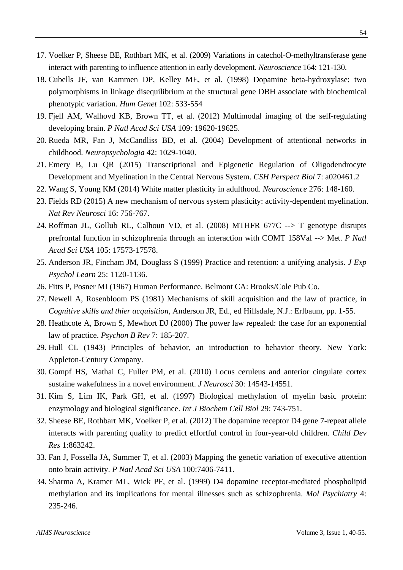- 17. Voelker P, Sheese BE, Rothbart MK, et al. (2009) Variations in catechol-O-methyltransferase gene interact with parenting to influence attention in early development. *Neuroscience* 164: 121-130.
- 18. Cubells JF, van Kammen DP, Kelley ME, et al. (1998) Dopamine beta-hydroxylase: two polymorphisms in linkage disequilibrium at the structural gene DBH associate with biochemical phenotypic variation. *Hum Genet* 102: 533-554
- 19. Fjell AM, Walhovd KB, Brown TT, et al. (2012) Multimodal imaging of the self-regulating developing brain. *P Natl Acad Sci USA* 109: 19620-19625.
- 20. Rueda MR, Fan J, McCandliss BD, et al. (2004) Development of attentional networks in childhood. *Neuropsychologia* 42: 1029-1040.
- 21. Emery B, Lu QR (2015) Transcriptional and Epigenetic Regulation of Oligodendrocyte Development and Myelination in the Central Nervous System. *CSH Perspect Biol* 7: a020461.2
- 22. Wang S, Young KM (2014) White matter plasticity in adulthood. *Neuroscience* 276: 148-160.
- 23. Fields RD (2015) A new mechanism of nervous system plasticity: activity-dependent myelination. *Nat Rev Neurosci* 16: 756-767.
- 24. Roffman JL, Gollub RL, Calhoun VD, et al. (2008) MTHFR 677C --> T genotype disrupts prefrontal function in schizophrenia through an interaction with COMT 158Val --> Met. *P Natl Acad Sci USA* 105: 17573-17578.
- 25. Anderson JR, Fincham JM, Douglass S (1999) Practice and retention: a unifying analysis. *J Exp Psychol Learn* 25: 1120-1136.
- 26. Fitts P, Posner MI (1967) Human Performance. Belmont CA: Brooks/Cole Pub Co.
- 27. Newell A, Rosenbloom PS (1981) Mechanisms of skill acquisition and the law of practice, in *Cognitive skills and thier acquisition*, Anderson JR, Ed., ed Hillsdale, N.J.: Erlbaum, pp. 1-55.
- 28. Heathcote A, Brown S, Mewhort DJ (2000) The power law repealed: the case for an exponential law of practice. *Psychon B Rev* 7: 185-207.
- 29. Hull CL (1943) Principles of behavior, an introduction to behavior theory. New York: Appleton-Century Company.
- 30. Gompf HS, Mathai C, Fuller PM, et al. (2010) Locus ceruleus and anterior cingulate cortex sustaine wakefulness in a novel environment. *J Neurosci* 30: 14543-14551.
- 31. Kim S, Lim IK, Park GH, et al. (1997) Biological methylation of myelin basic protein: enzymology and biological significance. *Int J Biochem Cell Biol* 29: 743-751.
- 32. Sheese BE, Rothbart MK, Voelker P, et al. (2012) The dopamine receptor D4 gene 7-repeat allele interacts with parenting quality to predict effortful control in four-year-old children. *Child Dev Res* 1:863242.
- 33. Fan J, Fossella JA, Summer T, et al. (2003) Mapping the genetic variation of executive attention onto brain activity. *P Natl Acad Sci USA* 100:7406-7411.
- <span id="page-14-0"></span>34. Sharma A, Kramer ML, Wick PF, et al. (1999) D4 dopamine receptor-mediated phospholipid methylation and its implications for mental illnesses such as schizophrenia. *Mol Psychiatry* 4: 235-246.